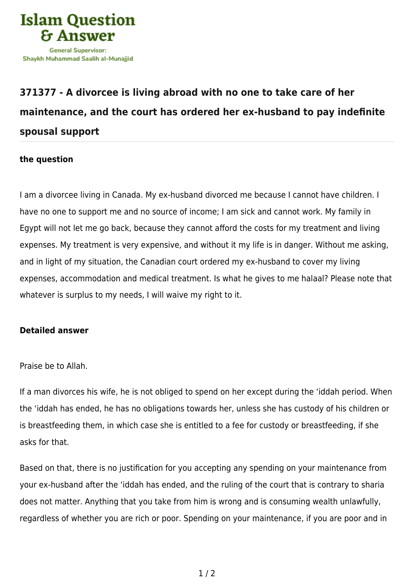

## **[371377 - A divorcee is living abroad with no one to take care of her](https://islamqa.com/en/answers/371377/a-divorcee-is-living-abroad-with-no-one-to-take-care-of-her-maintenance-and-the-court-has-ordered-her-ex-husband-to-pay-indefinite-spousal-support) [maintenance, and the court has ordered her ex-husband to pay indefinite](https://islamqa.com/en/answers/371377/a-divorcee-is-living-abroad-with-no-one-to-take-care-of-her-maintenance-and-the-court-has-ordered-her-ex-husband-to-pay-indefinite-spousal-support) [spousal support](https://islamqa.com/en/answers/371377/a-divorcee-is-living-abroad-with-no-one-to-take-care-of-her-maintenance-and-the-court-has-ordered-her-ex-husband-to-pay-indefinite-spousal-support)**

## **the question**

I am a divorcee living in Canada. My ex-husband divorced me because I cannot have children. I have no one to support me and no source of income; I am sick and cannot work. My family in Egypt will not let me go back, because they cannot afford the costs for my treatment and living expenses. My treatment is very expensive, and without it my life is in danger. Without me asking, and in light of my situation, the Canadian court ordered my ex-husband to cover my living expenses, accommodation and medical treatment. Is what he gives to me halaal? Please note that whatever is surplus to my needs, I will waive my right to it.

## **Detailed answer**

Praise be to Allah.

If a man divorces his wife, he is not obliged to spend on her except during the 'iddah period. When the 'iddah has ended, he has no obligations towards her, unless she has custody of his children or is breastfeeding them, in which case she is entitled to a fee for custody or breastfeeding, if she asks for that.

Based on that, there is no justification for you accepting any spending on your maintenance from your ex-husband after the 'iddah has ended, and the ruling of the court that is contrary to sharia does not matter. Anything that you take from him is wrong and is consuming wealth unlawfully, regardless of whether you are rich or poor. Spending on your maintenance, if you are poor and in